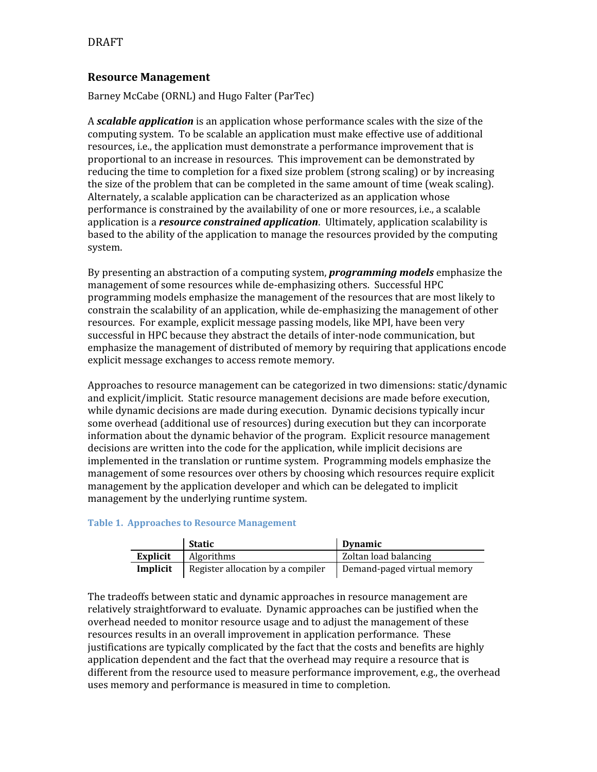## **Resource
Management**

Barney
McCabe
(ORNL)
and
Hugo
Falter
(ParTec)

A **scalable application** is an application whose performance scales with the size of the computing
system.

To
be
scalable
an
application
must
make
effective
use
of
additional resources, *i.e.,* the application must demonstrate a performance improvement that is proportional
to
an
increase
in
resources.

This
improvement
can
be
demonstrated
by reducing the time to completion for a fixed size problem (strong scaling) or by increasing the size of the problem that can be completed in the same amount of time (weak scaling). Alternately, a scalable application can be characterized as an application whose performance
is
constrained
by
the
availability
of
one
or
more
resources,
i.e.,
a
scalable application is a *resource constrained application*. Ultimately, application scalability is based
to
the
ability
of
the
application
to
manage
the
resources
provided
by
the
computing system.

By presenting an abstraction of a computing system, *programming models* emphasize the management of some resources while de-emphasizing others. Successful HPC programming
models
emphasize
the
management
of
the
resources
that
are
most
likely
to constrain the scalability of an application, while de-emphasizing the management of other resources. For example, explicit message passing models, like MPI, have been very successful in HPC because they abstract the details of inter-node communication, but emphasize the management of distributed of memory by requiring that applications encode explicit
message
exchanges
to
access
remote
memory.

Approaches
to
resource
management
can
be
categorized
in
two
dimensions:
static/dynamic and explicit/implicit. Static resource management decisions are made before execution, while dynamic decisions are made during execution. Dynamic decisions typically incur some overhead (additional use of resources) during execution but they can incorporate information
about
the
dynamic
behavior
of
the
program.

Explicit
resource
management decisions
are
written
into
the
code
for
the
application,
while
implicit
decisions
are implemented in the translation or runtime system. Programming models emphasize the management
of
some
resources
over
others
by
choosing
which
resources
require
explicit management by the application developer and which can be delegated to implicit management
by
the
underlying
runtime
system.

## **Table
1.

Approaches
to
Resource
Management**

|                 | <b>Static</b>                     | <b>Dynamic</b>              |
|-----------------|-----------------------------------|-----------------------------|
| <b>Explicit</b> | Algorithms                        | Zoltan load balancing       |
| Implicit        | Register allocation by a compiler | Demand-paged virtual memory |

The
tradeoffs
between
static
and
dynamic
approaches
in
resource
management
are relatively straightforward to evaluate. Dynamic approaches can be justified when the overhead
needed
to
monitor
resource
usage
and
to
adjust
the
management
of
these resources results in an overall improvement in application performance. These justifications are typically complicated by the fact that the costs and benefits are highly application dependent and the fact that the overhead may require a resource that is different from the resource used to measure performance improvement, e.g., the overhead uses
memory
and
performance
is
measured
in
time
to
completion.